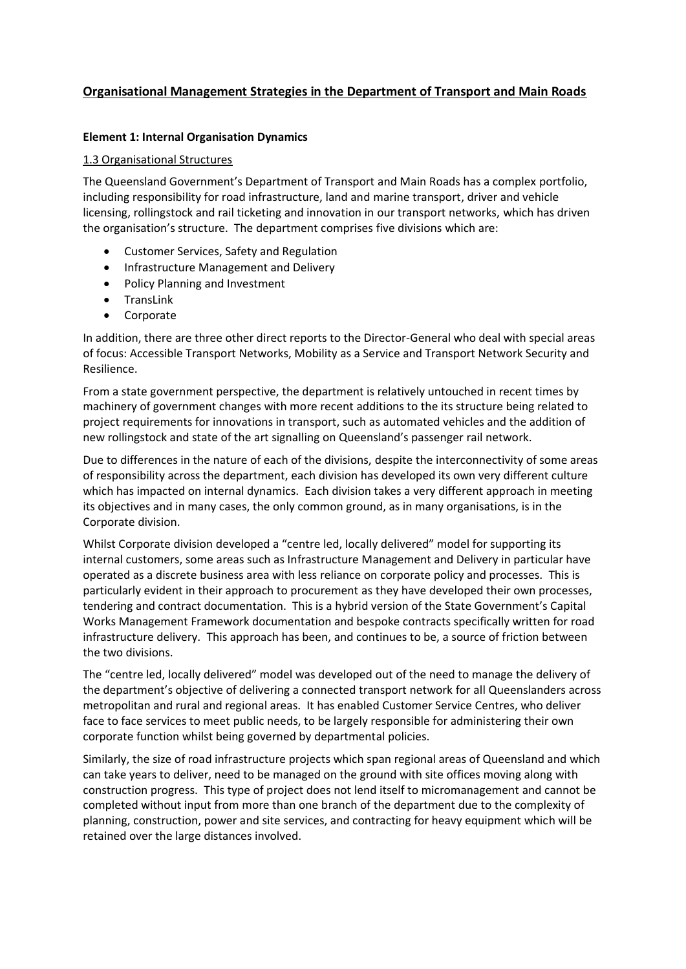# **Organisational Management Strategies in the Department of Transport and Main Roads**

# **Element 1: Internal Organisation Dynamics**

# 1.3 Organisational Structures

The Queensland Government's Department of Transport and Main Roads has a complex portfolio, including responsibility for road infrastructure, land and marine transport, driver and vehicle licensing, rollingstock and rail ticketing and innovation in our transport networks, which has driven the organisation's structure. The department comprises five divisions which are:

- Customer Services, Safety and Regulation
- Infrastructure Management and Delivery
- Policy Planning and Investment
- TransLink
- Corporate

In addition, there are three other direct reports to the Director-General who deal with special areas of focus: Accessible Transport Networks, Mobility as a Service and Transport Network Security and Resilience.

From a state government perspective, the department is relatively untouched in recent times by machinery of government changes with more recent additions to the its structure being related to project requirements for innovations in transport, such as automated vehicles and the addition of new rollingstock and state of the art signalling on Queensland's passenger rail network.

Due to differences in the nature of each of the divisions, despite the interconnectivity of some areas of responsibility across the department, each division has developed its own very different culture which has impacted on internal dynamics. Each division takes a very different approach in meeting its objectives and in many cases, the only common ground, as in many organisations, is in the Corporate division.

Whilst Corporate division developed a "centre led, locally delivered" model for supporting its internal customers, some areas such as Infrastructure Management and Delivery in particular have operated as a discrete business area with less reliance on corporate policy and processes. This is particularly evident in their approach to procurement as they have developed their own processes, tendering and contract documentation. This is a hybrid version of the State Government's Capital Works Management Framework documentation and bespoke contracts specifically written for road infrastructure delivery. This approach has been, and continues to be, a source of friction between the two divisions.

The "centre led, locally delivered" model was developed out of the need to manage the delivery of the department's objective of delivering a connected transport network for all Queenslanders across metropolitan and rural and regional areas. It has enabled Customer Service Centres, who deliver face to face services to meet public needs, to be largely responsible for administering their own corporate function whilst being governed by departmental policies.

Similarly, the size of road infrastructure projects which span regional areas of Queensland and which can take years to deliver, need to be managed on the ground with site offices moving along with construction progress. This type of project does not lend itself to micromanagement and cannot be completed without input from more than one branch of the department due to the complexity of planning, construction, power and site services, and contracting for heavy equipment which will be retained over the large distances involved.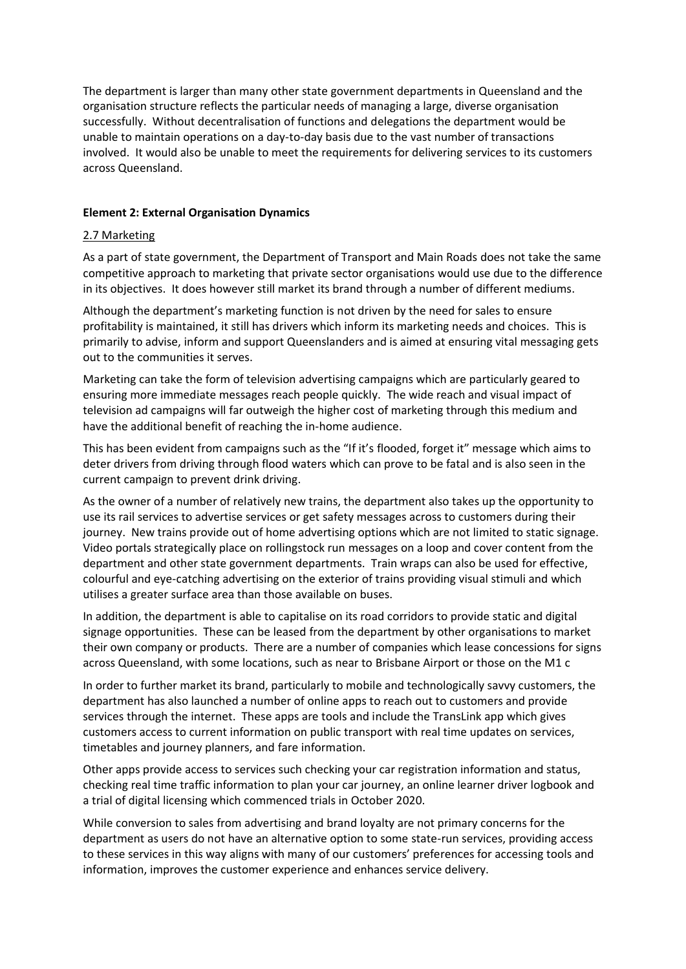The department is larger than many other state government departments in Queensland and the organisation structure reflects the particular needs of managing a large, diverse organisation successfully. Without decentralisation of functions and delegations the department would be unable to maintain operations on a day-to-day basis due to the vast number of transactions involved. It would also be unable to meet the requirements for delivering services to its customers across Queensland.

### **Element 2: External Organisation Dynamics**

#### 2.7 Marketing

As a part of state government, the Department of Transport and Main Roads does not take the same competitive approach to marketing that private sector organisations would use due to the difference in its objectives. It does however still market its brand through a number of different mediums.

Although the department's marketing function is not driven by the need for sales to ensure profitability is maintained, it still has drivers which inform its marketing needs and choices. This is primarily to advise, inform and support Queenslanders and is aimed at ensuring vital messaging gets out to the communities it serves.

Marketing can take the form of television advertising campaigns which are particularly geared to ensuring more immediate messages reach people quickly. The wide reach and visual impact of television ad campaigns will far outweigh the higher cost of marketing through this medium and have the additional benefit of reaching the in-home audience.

This has been evident from campaigns such as the "If it's flooded, forget it" message which aims to deter drivers from driving through flood waters which can prove to be fatal and is also seen in the current campaign to prevent drink driving.

As the owner of a number of relatively new trains, the department also takes up the opportunity to use its rail services to advertise services or get safety messages across to customers during their journey. New trains provide out of home advertising options which are not limited to static signage. Video portals strategically place on rollingstock run messages on a loop and cover content from the department and other state government departments. Train wraps can also be used for effective, colourful and eye-catching advertising on the exterior of trains providing visual stimuli and which utilises a greater surface area than those available on buses.

In addition, the department is able to capitalise on its road corridors to provide static and digital signage opportunities. These can be leased from the department by other organisations to market their own company or products. There are a number of companies which lease concessions for signs across Queensland, with some locations, such as near to Brisbane Airport or those on the M1 c

In order to further market its brand, particularly to mobile and technologically savvy customers, the department has also launched a number of online apps to reach out to customers and provide services through the internet. These apps are tools and include the TransLink app which gives customers access to current information on public transport with real time updates on services, timetables and journey planners, and fare information.

Other apps provide access to services such checking your car registration information and status, checking real time traffic information to plan your car journey, an online learner driver logbook and a trial of digital licensing which commenced trials in October 2020.

While conversion to sales from advertising and brand loyalty are not primary concerns for the department as users do not have an alternative option to some state-run services, providing access to these services in this way aligns with many of our customers' preferences for accessing tools and information, improves the customer experience and enhances service delivery.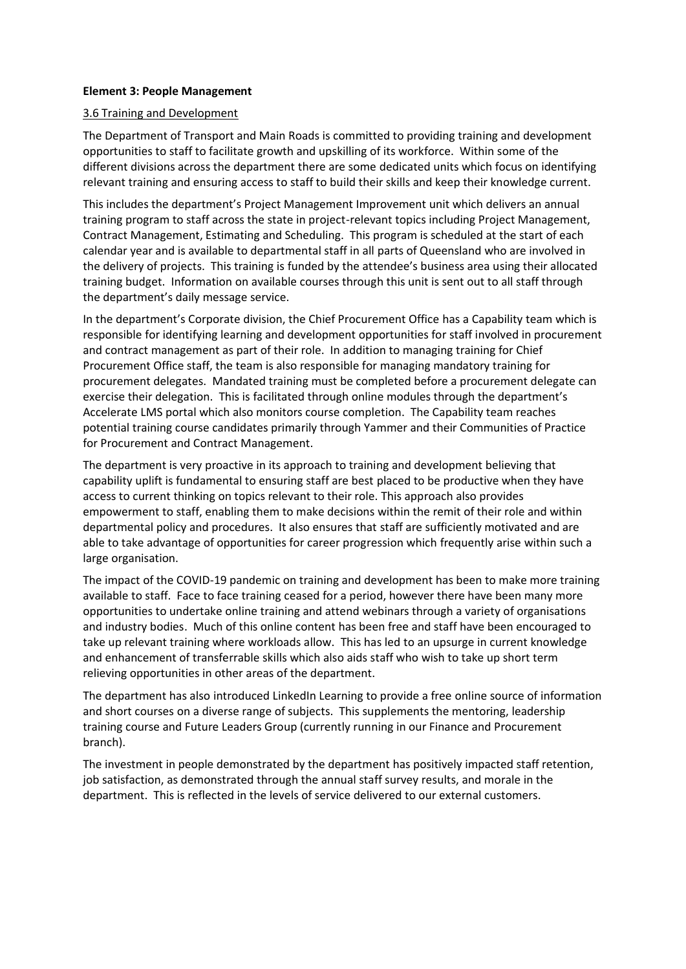### **Element 3: People Management**

# 3.6 Training and Development

The Department of Transport and Main Roads is committed to providing training and development opportunities to staff to facilitate growth and upskilling of its workforce. Within some of the different divisions across the department there are some dedicated units which focus on identifying relevant training and ensuring access to staff to build their skills and keep their knowledge current.

This includes the department's Project Management Improvement unit which delivers an annual training program to staff across the state in project-relevant topics including Project Management, Contract Management, Estimating and Scheduling. This program is scheduled at the start of each calendar year and is available to departmental staff in all parts of Queensland who are involved in the delivery of projects. This training is funded by the attendee's business area using their allocated training budget. Information on available courses through this unit is sent out to all staff through the department's daily message service.

In the department's Corporate division, the Chief Procurement Office has a Capability team which is responsible for identifying learning and development opportunities for staff involved in procurement and contract management as part of their role. In addition to managing training for Chief Procurement Office staff, the team is also responsible for managing mandatory training for procurement delegates. Mandated training must be completed before a procurement delegate can exercise their delegation. This is facilitated through online modules through the department's Accelerate LMS portal which also monitors course completion. The Capability team reaches potential training course candidates primarily through Yammer and their Communities of Practice for Procurement and Contract Management.

The department is very proactive in its approach to training and development believing that capability uplift is fundamental to ensuring staff are best placed to be productive when they have access to current thinking on topics relevant to their role. This approach also provides empowerment to staff, enabling them to make decisions within the remit of their role and within departmental policy and procedures. It also ensures that staff are sufficiently motivated and are able to take advantage of opportunities for career progression which frequently arise within such a large organisation.

The impact of the COVID-19 pandemic on training and development has been to make more training available to staff. Face to face training ceased for a period, however there have been many more opportunities to undertake online training and attend webinars through a variety of organisations and industry bodies. Much of this online content has been free and staff have been encouraged to take up relevant training where workloads allow. This has led to an upsurge in current knowledge and enhancement of transferrable skills which also aids staff who wish to take up short term relieving opportunities in other areas of the department.

The department has also introduced LinkedIn Learning to provide a free online source of information and short courses on a diverse range of subjects. This supplements the mentoring, leadership training course and Future Leaders Group (currently running in our Finance and Procurement branch).

The investment in people demonstrated by the department has positively impacted staff retention, job satisfaction, as demonstrated through the annual staff survey results, and morale in the department. This is reflected in the levels of service delivered to our external customers.